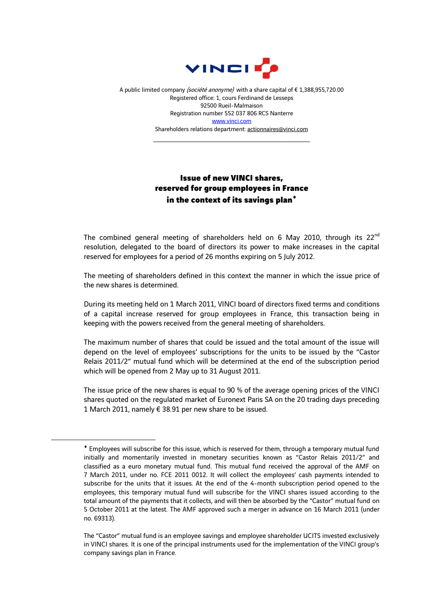

A public limited company (société anonyme) with a share capital of € 1,388,955,720.00 Registered office: 1, cours Ferdinand de Lesseps 92500 Rueil-Malmaison Registration number 552 037 806 RCS Nanterre [www.vinci.com](http://www.vinci.com/) Shareholders relations department: actionnaires@vinci.com

\_\_\_\_\_\_\_\_\_\_\_\_\_\_\_\_\_\_\_\_\_\_\_\_\_\_\_\_\_\_\_\_\_\_\_\_

## Issue of new VINCI shares, reserved for group employees in France in the context of its savings plan

The combined general meeting of shareholders held on 6 May 2010, through its  $22<sup>nd</sup>$ resolution, delegated to the board of directors its power to make increases in the capital reserved for employees for a period of 26 months expiring on 5 July 2012.

The meeting of shareholders defined in this context the manner in which the issue price of the new shares is determined.

During its meeting held on 1 March 2011, VINCI board of directors fixed terms and conditions of a capital increase reserved for group employees in France, this transaction being in keeping with the powers received from the general meeting of shareholders.

The maximum number of shares that could be issued and the total amount of the issue will depend on the level of employees' subscriptions for the units to be issued by the "Castor Relais 2011/2" mutual fund which will be determined at the end of the subscription period which will be opened from 2 May up to 31 August 2011.

The issue price of the new shares is equal to 90 % of the average opening prices of the VINCI shares quoted on the regulated market of Euronext Paris SA on the 20 trading days preceding 1 March 2011, namely  $\epsilon$  38.91 per new share to be issued.

1

Employees will subscribe for this issue, which is reserved for them, through a temporary mutual fund initially and momentarily invested in monetary securities known as "Castor Relais 2011/2" and classified as a euro monetary mutual fund. This mutual fund received the approval of the AMF on 7 March 2011, under no. FCE 2011 0012. It will collect the employees' cash payments intended to subscribe for the units that it issues. At the end of the 4-month subscription period opened to the employees, this temporary mutual fund will subscribe for the VINCI shares issued according to the total amount of the payments that it collects, and will then be absorbed by the "Castor" mutual fund on 5 October 2011 at the latest. The AMF approved such a merger in advance on 16 March 2011 (under no. 69313).

The "Castor" mutual fund is an employee savings and employee shareholder UCITS invested exclusively in VINCI shares. It is one of the principal instruments used for the implementation of the VINCI group's company savings plan in France.